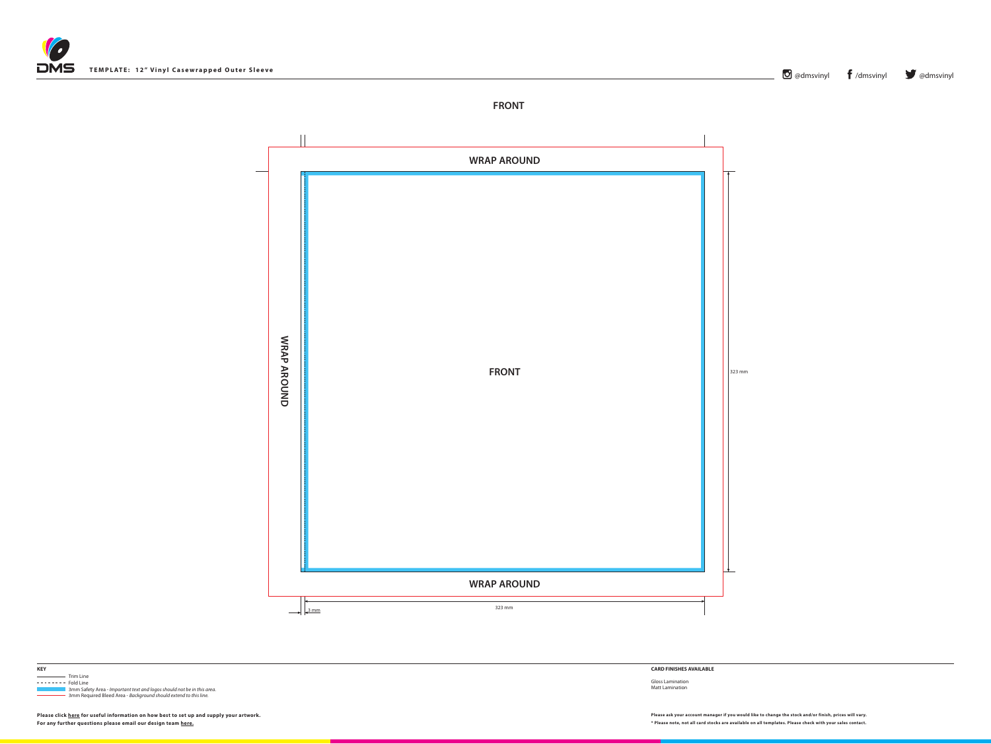

 Trim Line Trim Line **KEY**



------- Fold Line 3mm Safety Area - *Important text and logos should not be in this area*. 3mm Required Bleed Area - *Background should extend to this line.*

## **CARD FINISHES AVAILABLE**

Please ask your account manager if you would like to change the stock and/or finish, prices will vary. Please click [here](http://www.discmanufacturingservices.com/vinyl-templates.htm#artwork-specifications) for useful information on how best to set up and supply your artwork. Please ask your account manager **For any further questions please email our design team [here](mailto:graphics%40discmanufacturingservices.com?subject=Template%20Enquiry).**

Gloss Lamination Matt Lamination



**\* Please note, not all card stocks are available on all templates. Please check with your sales contact.**